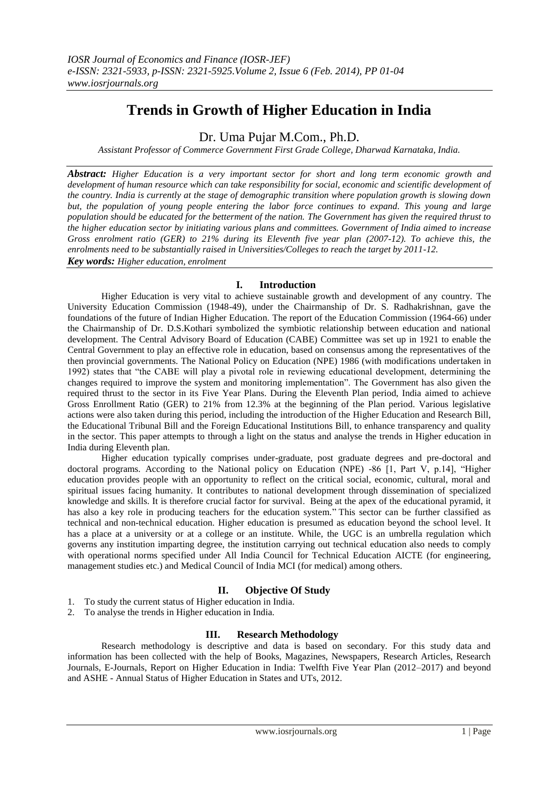# **Trends in Growth of Higher Education in India**

Dr. Uma Pujar M.Com., Ph.D.

*Assistant Professor of Commerce Government First Grade College, Dharwad Karnataka, India.*

*Abstract: Higher Education is a very important sector for short and long term economic growth and*  development of human resource which can take responsibility for social, economic and scientific development of *the country. India is currently at the stage of demographic transition where population growth is slowing down but, the population of young people entering the labor force continues to expand. This young and large population should be educated for the betterment of the nation. The Government has given the required thrust to the higher education sector by initiating various plans and committees. Government of India aimed to increase Gross enrolment ratio (GER) to 21% during its Eleventh five year plan (2007-12). To achieve this, the enrolments need to be substantially raised in Universities/Colleges to reach the target by 2011-12. Key words: Higher education, enrolment*

## **I. Introduction**

Higher Education is very vital to achieve sustainable growth and development of any country. The University Education Commission (1948-49), under the Chairmanship of Dr. S. Radhakrishnan, gave the foundations of the future of Indian Higher Education. The report of the Education Commission (1964-66) under the Chairmanship of Dr. D.S.Kothari symbolized the symbiotic relationship between education and national development. The Central Advisory Board of Education (CABE) Committee was set up in 1921 to enable the Central Government to play an effective role in education, based on consensus among the representatives of the then provincial governments. The National Policy on Education (NPE) 1986 (with modifications undertaken in 1992) states that "the CABE will play a pivotal role in reviewing educational development, determining the changes required to improve the system and monitoring implementation". The Government has also given the required thrust to the sector in its Five Year Plans. During the Eleventh Plan period, India aimed to achieve Gross Enrollment Ratio (GER) to 21% from 12.3% at the beginning of the Plan period. Various legislative actions were also taken during this period, including the introduction of the Higher Education and Research Bill, the Educational Tribunal Bill and the Foreign Educational Institutions Bill, to enhance transparency and quality in the sector. This paper attempts to through a light on the status and analyse the trends in Higher education in India during Eleventh plan.

Higher education typically comprises under-graduate, post graduate degrees and pre-doctoral and doctoral programs. According to the National policy on Education (NPE) -86  $[1, Part V, p.14]$ , "Higher education provides people with an opportunity to reflect on the critical social, economic, cultural, moral and spiritual issues facing humanity. It contributes to national development through dissemination of specialized knowledge and skills. It is therefore crucial factor for survival. Being at the apex of the educational pyramid, it has also a key role in producing teachers for the education system." This sector can be further classified as technical and non-technical education. Higher education is presumed as education beyond the school level. It has a place at a university or at a college or an institute. While, the UGC is an umbrella regulation which governs any institution imparting degree, the institution carrying out technical education also needs to comply with operational norms specified under All India Council for Technical Education AICTE (for engineering, management studies etc.) and Medical Council of India MCI (for medical) among others.

# **II. Objective Of Study**

- 1. To study the current status of Higher education in India.
- 2. To analyse the trends in Higher education in India.

# **III. Research Methodology**

Research methodology is descriptive and data is based on secondary. For this study data and information has been collected with the help of Books, Magazines, Newspapers, Research Articles, Research Journals, E-Journals, Report on Higher Education in India: Twelfth Five Year Plan (2012–2017) and beyond and ASHE - Annual Status of Higher Education in States and UTs, 2012.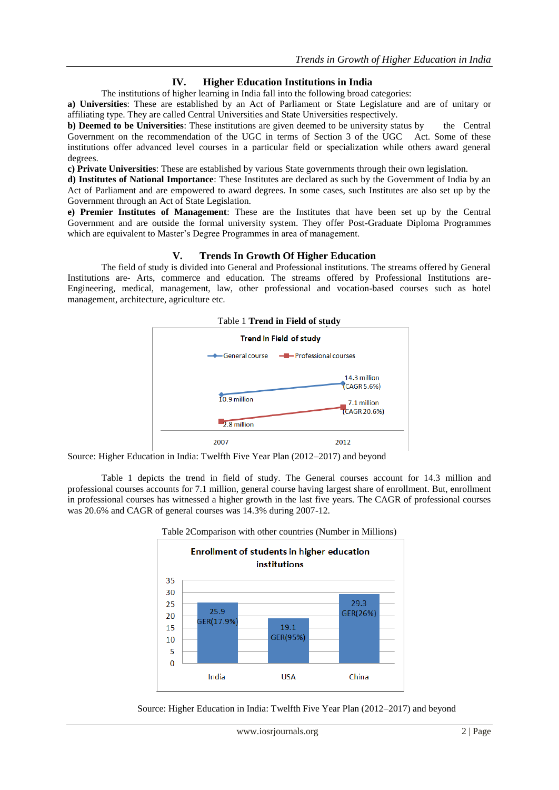## **IV. Higher Education Institutions in India**

The institutions of higher learning in India fall into the following broad categories:

**a) Universities**: These are established by an Act of Parliament or State Legislature and are of unitary or affiliating type. They are called Central Universities and State Universities respectively.

**b) Deemed to be Universities**: These institutions are given deemed to be university status by the Central Government on the recommendation of the UGC in terms of Section 3 of the UGC Act. Some of these institutions offer advanced level courses in a particular field or specialization while others award general degrees.

**c) Private Universities**: These are established by various State governments through their own legislation.

**d) Institutes of National Importance**: These Institutes are declared as such by the Government of India by an Act of Parliament and are empowered to award degrees. In some cases, such Institutes are also set up by the Government through an Act of State Legislation.

**e) Premier Institutes of Management**: These are the Institutes that have been set up by the Central Government and are outside the formal university system. They offer Post-Graduate Diploma Programmes which are equivalent to Master's Degree Programmes in area of management.

## **V. Trends In Growth Of Higher Education**

The field of study is divided into General and Professional institutions. The streams offered by General Institutions are- Arts, commerce and education. The streams offered by Professional Institutions are-Engineering, medical, management, law, other professional and vocation-based courses such as hotel management, architecture, agriculture etc.



Source: Higher Education in India: Twelfth Five Year Plan (2012–2017) and beyond

Table 1 depicts the trend in field of study. The General courses account for 14.3 million and professional courses accounts for 7.1 million, general course having largest share of enrollment. But, enrollment in professional courses has witnessed a higher growth in the last five years. The CAGR of professional courses was 20.6% and CAGR of general courses was 14.3% during 2007-12.



Source: Higher Education in India: Twelfth Five Year Plan (2012–2017) and beyond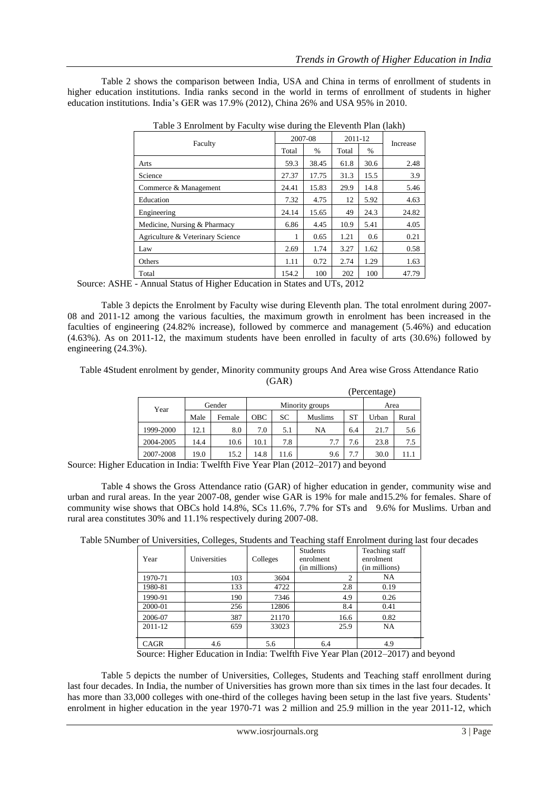Table 2 shows the comparison between India, USA and China in terms of enrollment of students in higher education institutions. India ranks second in the world in terms of enrollment of students in higher education institutions. India's GER was 17.9% (2012), China 26% and USA 95% in 2010.

| There is Embracated to the contract of the End of the state $\mu$ |         |               |         |      |          |  |
|-------------------------------------------------------------------|---------|---------------|---------|------|----------|--|
| Faculty                                                           | 2007-08 |               | 2011-12 |      | Increase |  |
|                                                                   | Total   | $\frac{0}{6}$ | Total   | %    |          |  |
| Arts                                                              | 59.3    | 38.45         | 61.8    | 30.6 | 2.48     |  |
| Science                                                           | 27.37   | 17.75         | 31.3    | 15.5 | 3.9      |  |
| Commerce & Management                                             | 24.41   | 15.83         | 29.9    | 14.8 | 5.46     |  |
| Education                                                         | 7.32    | 4.75          | 12      | 5.92 | 4.63     |  |
| Engineering                                                       | 24.14   | 15.65         | 49      | 24.3 | 24.82    |  |
| Medicine, Nursing & Pharmacy                                      | 6.86    | 4.45          | 10.9    | 5.41 | 4.05     |  |
| Agriculture & Veterinary Science                                  |         | 0.65          | 1.21    | 0.6  | 0.21     |  |
| Law                                                               | 2.69    | 1.74          | 3.27    | 1.62 | 0.58     |  |
| Others                                                            | 1.11    | 0.72          | 2.74    | 1.29 | 1.63     |  |
| Total                                                             | 154.2   | 100           | 202     | 100  | 47.79    |  |

Table 3 Enrolment by Faculty wise during the Eleventh Plan (lakh)

Source: ASHE - Annual Status of Higher Education in States and UTs, 2012

Table 3 depicts the Enrolment by Faculty wise during Eleventh plan. The total enrolment during 2007- 08 and 2011-12 among the various faculties, the maximum growth in enrolment has been increased in the faculties of engineering (24.82% increase), followed by commerce and management (5.46%) and education (4.63%). As on 2011-12, the maximum students have been enrolled in faculty of arts (30.6%) followed by engineering (24.3%).

Table 4Student enrolment by gender, Minority community groups And Area wise Gross Attendance Ratio (GAR)

|  |                                                                                                                 |        |        |                 |           |                |           | (Percentage) |       |
|--|-----------------------------------------------------------------------------------------------------------------|--------|--------|-----------------|-----------|----------------|-----------|--------------|-------|
|  | Year                                                                                                            | Gender |        | Minority groups |           |                |           | Area         |       |
|  |                                                                                                                 | Male   | Female | <b>OBC</b>      | <b>SC</b> | <b>Muslims</b> | <b>ST</b> | Urban        | Rural |
|  | 1999-2000                                                                                                       | 12.1   | 8.0    | 7.0             | 5.1       | NA             | 6.4       | 21.7         | 5.6   |
|  | 2004-2005                                                                                                       | 14.4   | 10.6   | 10.1            | 7.8       | 7.7            | 7.6       | 23.8         | 7.5   |
|  | 2007-2008                                                                                                       | 19.0   | 15.2   | 14.8            | 11.6      | 9.6            | 7.7       | 30.0         | 11.1  |
|  | $10.1$ $\Gamma$ .<br>$\mathbf{V}$ $\mathbf{D}$ (0.010 0.017) 11 1<br>$\mathbf{1}$ , $\mathbf{1}$ , $\mathbf{1}$ |        |        |                 |           |                |           |              |       |

Source: Higher Education in India: Twelfth Five Year Plan (2012–2017) and beyond

Table 4 shows the Gross Attendance ratio (GAR) of higher education in gender, community wise and urban and rural areas. In the year 2007-08, gender wise GAR is 19% for male and15.2% for females. Share of community wise shows that OBCs hold 14.8%, SCs 11.6%, 7.7% for STs and 9.6% for Muslims. Urban and rural area constitutes 30% and 11.1% respectively during 2007-08.

Table 5Number of Universities, Colleges, Students and Teaching staff Enrolment during last four decades

| Year        | Universities | Colleges | <b>Students</b><br>enrolment<br>(in millions) | Teaching staff<br>enrolment<br>(in millions) |
|-------------|--------------|----------|-----------------------------------------------|----------------------------------------------|
| 1970-71     | 103          | 3604     |                                               | NA                                           |
| 1980-81     | 133          | 4722     | 2.8                                           | 0.19                                         |
| 1990-91     | 190          | 7346     | 4.9                                           | 0.26                                         |
| 2000-01     | 256          | 12806    | 8.4                                           | 0.41                                         |
| 2006-07     | 387          | 21170    | 16.6                                          | 0.82                                         |
| 2011-12     | 659          | 33023    | 25.9                                          | NA                                           |
| <b>CAGR</b> | 4.6          | 5.6      | 6.4                                           | 4.9                                          |

Source: Higher Education in India: Twelfth Five Year Plan (2012–2017) and beyond

Table 5 depicts the number of Universities, Colleges, Students and Teaching staff enrollment during last four decades. In India, the number of Universities has grown more than six times in the last four decades. It has more than 33,000 colleges with one-third of the colleges having been setup in the last five years. Students' enrolment in higher education in the year 1970-71 was 2 million and 25.9 million in the year 2011-12, which